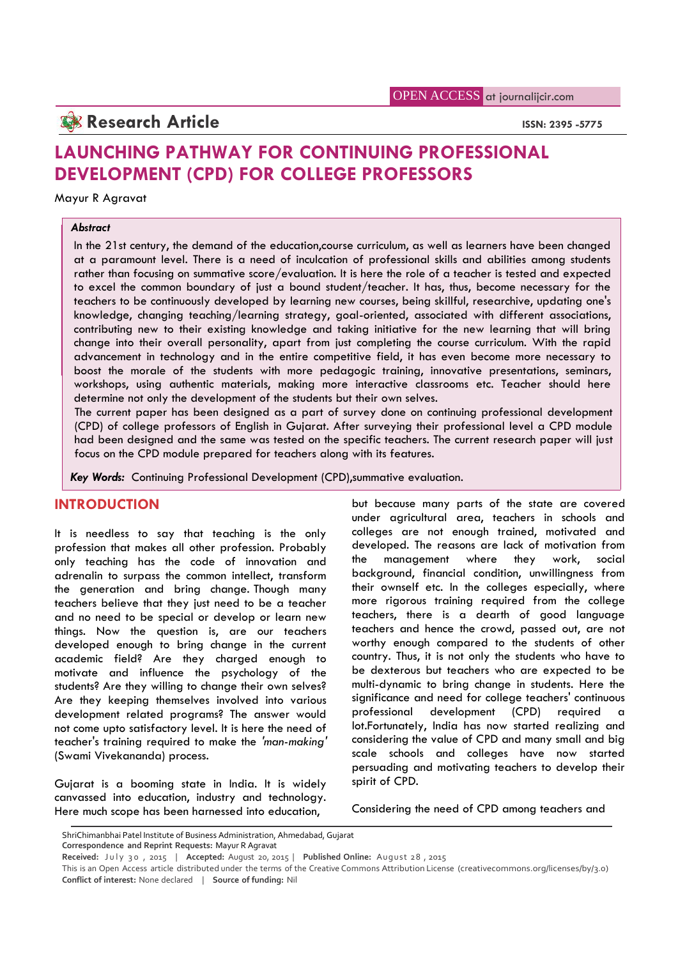## **Research Article ISSN: 2395 -5775**

# **LAUNCHING PATHWAY FOR CONTINUING PROFESSIONAL DEVELOPMENT (CPD) FOR COLLEGE PROFESSORS**

#### Mayur R Agravat

#### *Abstract*

In the 21st century, the demand of the education,course curriculum, as well as learners have been changed at a paramount level. There is a need of inculcation of professional skills and abilities among students rather than focusing on summative score/evaluation. It is here the role of a teacher is tested and expected to excel the common boundary of just a bound student/teacher. It has, thus, become necessary for the teachers to be continuously developed by learning new courses, being skillful, researchive, updating one's knowledge, changing teaching/learning strategy, goal-oriented, associated with different associations, contributing new to their existing knowledge and taking initiative for the new learning that will bring change into their overall personality, apart from just completing the course curriculum. With the rapid advancement in technology and in the entire competitive field, it has even become more necessary to boost the morale of the students with more pedagogic training, innovative presentations, seminars, workshops, using authentic materials, making more interactive classrooms etc. Teacher should here determine not only the development of the students but their own selves.

The current paper has been designed as a part of survey done on continuing professional development (CPD) of college professors of English in Gujarat. After surveying their professional level a CPD module had been designed and the same was tested on the specific teachers. The current research paper will just focus on the CPD module prepared for teachers along with its features.

*Key Words:* Continuing Professional Development (CPD),summative evaluation.

## **INTRODUCTION**

It is needless to say that teaching is the only profession that makes all other profession. Probably dev<br>calve together has the code of innovation and the only teaching has the code of innovation and adrenalin to surpass the common intellect, transform the generation and bring change. Though many teachers believe that they just need to be a teacher and no need to be special or develop or learn new things. Now the question is, are our teachers developed enough to bring change in the current academic field? Are they charged enough to motivate and influence the psychology of the students? Are they willing to change their own selves? Are they keeping themselves involved into various development related programs? The answer would not come upto satisfactory level. It is here the need of teacher's training required to make the *'man-making'* (Swami Vivekananda) process.

Gujarat is a booming state in India. It is widely canvassed into education, industry and technology. Here much scope has been harnessed into education,

but because many parts of the state are covered under agricultural area, teachers in schools and colleges are not enough trained, motivated and developed. The reasons are lack of motivation from management where they work, social background, financial condition, unwillingness from their ownself etc. In the colleges especially, where more rigorous training required from the college teachers, there is a dearth of good language teachers and hence the crowd, passed out, are not worthy enough compared to the students of other country. Thus, it is not only the students who have to be dexterous but teachers who are expected to be multi-dynamic to bring change in students. Here the significance and need for college teachers' continuous development (CPD) required a lot.Fortunately, India has now started realizing and considering the value of CPD and many small and big scale schools and colleges have now started persuading and motivating teachers to develop their spirit of CPD.

Considering the need of CPD among teachers and

**Correspondence and Reprint Requests:** Mayur R Agravat

ShriChimanbhai Patel Institute of Business Administration, Ahmedabad, Gujarat

**Received:** July 30, 2015 | Accepted: August 20, 2015 | Published Online: August 28, 2015

This is an Open Access article distributed under the terms of the Creative Commons Attribution License (creativecommons.org/licenses/by/3.0) **Conflict of interest:** None declared | **Source of funding:** Nil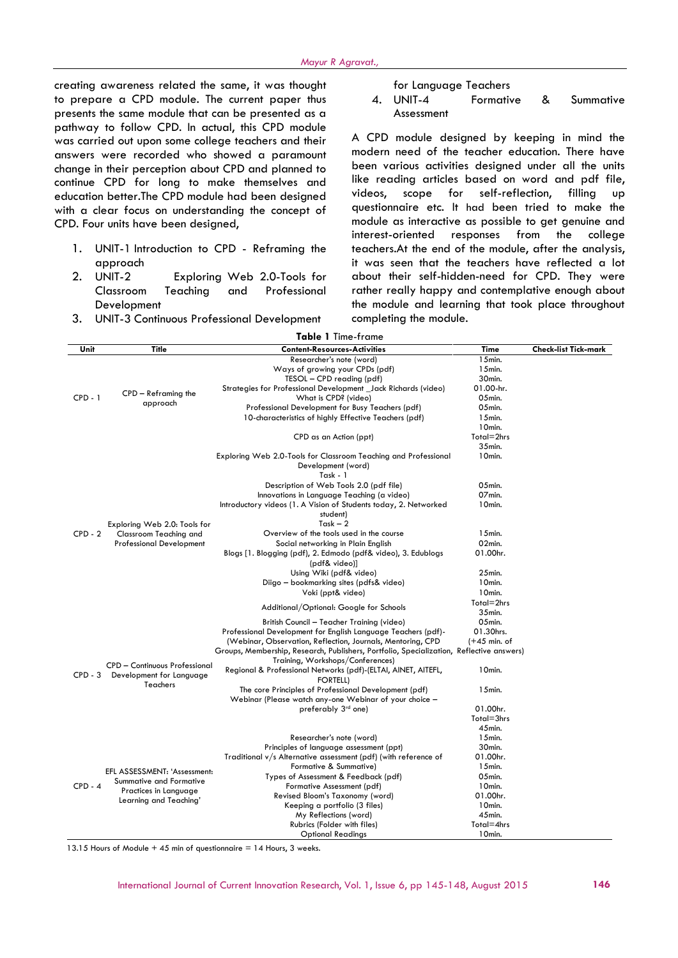creating awareness related the same, it was thought to prepare a CPD module. The current paper thus presents the same module that can be presented as a pathway to follow CPD. In actual, this CPD module was carried out upon some college teachers and their answers were recorded who showed a paramount change in their perception about CPD and planned to continue CPD for long to make themselves and like rea education better.The CPD module had been designed with a clear focus on understanding the concept of CPD. Four units have been designed,

- 1. UNIT-1 Introduction to CPD Reframing the approach
- 2. UNIT-2 Exploring Web 2.0-Tools for Classroom Teaching and Professional Development
- 3. UNIT-3 Continuous Professional Development

for Language Teachers

4. UNIT-4 Formative & Summative Assessment

A CPD module designed by keeping in mind the modern need of the teacher education. There have been various activities designed under all the units like reading articles based on word and pdf file, scope for self-reflection, filling up questionnaire etc. It had been tried to make the module as interactive as possible to get genuine and interest-oriented responses from the college teachers.At the end of the module, after the analysis, it was seen that the teachers have reflected a lot about their self-hidden-need for CPD. They were rather really happy and contemplative enough about the module and learning that took place throughout completing the module.

| <b>Table 1</b> Time-frame |                                                                                                           |                                                                                          |                     |                             |
|---------------------------|-----------------------------------------------------------------------------------------------------------|------------------------------------------------------------------------------------------|---------------------|-----------------------------|
| Unit                      | <b>Title</b>                                                                                              | <b>Content-Resources-Activities</b>                                                      | Time                | <b>Check-list Tick-mark</b> |
| $CPD - 1$                 | CPD - Reframing the<br>approach                                                                           | Researcher's note (word)                                                                 | 15min.              |                             |
|                           |                                                                                                           | Ways of growing your CPDs (pdf)                                                          | 15min.              |                             |
|                           |                                                                                                           | TESOL - CPD reading (pdf)                                                                | 30min.              |                             |
|                           |                                                                                                           | Strategies for Professional Development _Jack Richards (video)                           | 01.00-hr.           |                             |
|                           |                                                                                                           | What is CPD? (video)                                                                     | 05min.              |                             |
|                           |                                                                                                           | Professional Development for Busy Teachers (pdf)                                         | 05min.              |                             |
|                           |                                                                                                           | 10-characteristics of highly Effective Teachers (pdf)                                    | 15min.              |                             |
|                           |                                                                                                           |                                                                                          | 10min.              |                             |
|                           |                                                                                                           | CPD as an Action (ppt)                                                                   | Total=2hrs          |                             |
| $CPD - 2$                 | Exploring Web 2.0: Tools for<br>Classroom Teaching and<br><b>Professional Development</b>                 |                                                                                          | 35min.              |                             |
|                           |                                                                                                           | Exploring Web 2.0-Tools for Classroom Teaching and Professional                          | 10min.              |                             |
|                           |                                                                                                           | Development (word)<br>Task - 1                                                           |                     |                             |
|                           |                                                                                                           |                                                                                          | 05min.              |                             |
|                           |                                                                                                           | Description of Web Tools 2.0 (pdf file)<br>Innovations in Language Teaching (a video)    | 07min.              |                             |
|                           |                                                                                                           | Introductory videos (1. A Vision of Students today, 2. Networked                         | 10min.              |                             |
|                           |                                                                                                           | student)                                                                                 |                     |                             |
|                           |                                                                                                           | Task $-2$                                                                                |                     |                             |
|                           |                                                                                                           | Overview of the tools used in the course                                                 | $15$ min.           |                             |
|                           |                                                                                                           | Social networking in Plain English                                                       | 02min.              |                             |
|                           |                                                                                                           | Blogs [1. Blogging (pdf), 2. Edmodo (pdf& video), 3. Edublogs                            | 01.00hr.            |                             |
|                           |                                                                                                           | (pdf& video)]                                                                            |                     |                             |
|                           |                                                                                                           | Using Wiki (pdf& video)                                                                  | 25min.              |                             |
|                           |                                                                                                           | Diigo – bookmarking sites (pdfs& video)                                                  | 10min.              |                             |
|                           |                                                                                                           | Voki (ppt& video)                                                                        | 10min.              |                             |
|                           |                                                                                                           |                                                                                          | Total=2hrs          |                             |
|                           |                                                                                                           | Additional/Optional: Google for Schools                                                  | 35min.              |                             |
| $CPD - 3$                 | <b>CPD - Continuous Professional</b><br>Development for Language<br>Teachers                              | British Council - Teacher Training (video)                                               | 05min.              |                             |
|                           |                                                                                                           | Professional Development for English Language Teachers (pdf)-                            | 01.30hrs.           |                             |
|                           |                                                                                                           | (Webinar, Observation, Reflection, Journals, Mentoring, CPD                              | $(+45$ min. of      |                             |
|                           |                                                                                                           | Groups, Membership, Research, Publishers, Portfolio, Specialization, Reflective answers) |                     |                             |
|                           |                                                                                                           | Training, Workshops/Conferences)                                                         |                     |                             |
|                           |                                                                                                           | Regional & Professional Networks (pdf)-(ELTAI, AINET, AITEFL,                            | 10min.              |                             |
|                           |                                                                                                           | <b>FORTELL)</b>                                                                          |                     |                             |
|                           |                                                                                                           | The core Principles of Professional Development (pdf)                                    | $15$ min.           |                             |
|                           |                                                                                                           | Webinar (Please watch any-one Webinar of your choice -                                   |                     |                             |
|                           |                                                                                                           | preferably 3 <sup>rd</sup> one)                                                          | 01.00hr.            |                             |
|                           |                                                                                                           |                                                                                          | Total=3hrs          |                             |
| $CPD - 4$                 | EFL ASSESSMENT: 'Assessment:<br>Summative and Formative<br>Practices in Language<br>Learning and Teaching | Researcher's note (word)                                                                 | 45min.<br>$15$ min. |                             |
|                           |                                                                                                           | Principles of language assessment (ppt)                                                  | 30min.              |                             |
|                           |                                                                                                           | Traditional v/s Alternative assessment (pdf) (with reference of                          | 01.00hr.            |                             |
|                           |                                                                                                           | Formative & Summative)                                                                   | 15min.              |                             |
|                           |                                                                                                           | Types of Assessment & Feedback (pdf)                                                     | 05min.              |                             |
|                           |                                                                                                           | Formative Assessment (pdf)                                                               | 10min.              |                             |
|                           |                                                                                                           | Revised Bloom's Taxonomy (word)                                                          | 01.00hr.            |                             |
|                           |                                                                                                           | Keeping a portfolio (3 files)                                                            | 10min.              |                             |
|                           |                                                                                                           | My Reflections (word)                                                                    | 45min.              |                             |
|                           |                                                                                                           | Rubrics (Folder with files)                                                              | Total=4hrs          |                             |
|                           |                                                                                                           | <b>Optional Readings</b>                                                                 | 10min.              |                             |

13.15 Hours of Module  $+ 45$  min of questionnaire  $= 14$  Hours, 3 weeks.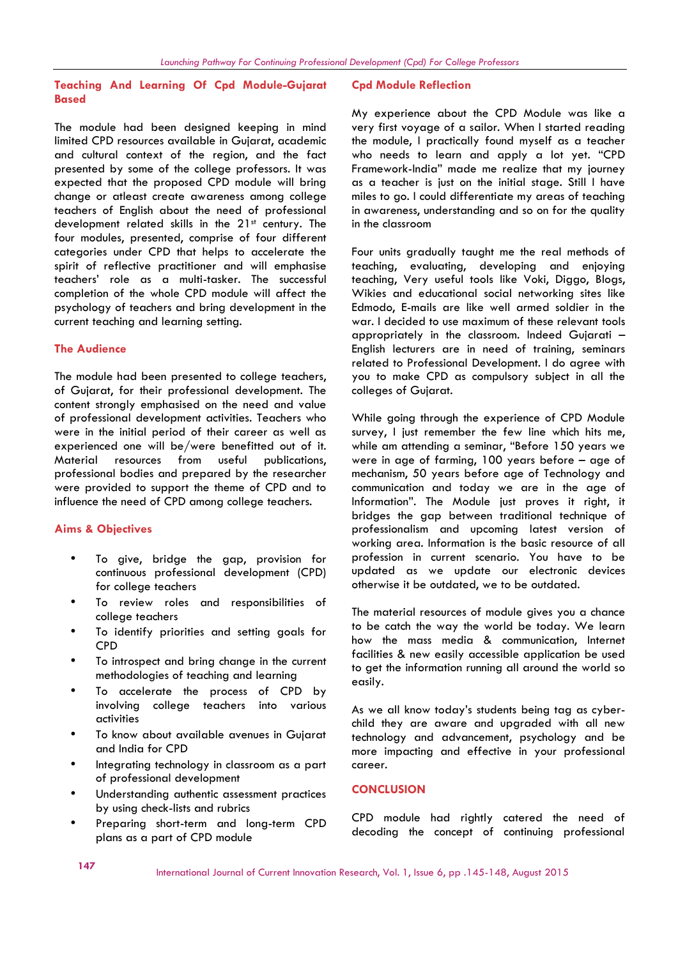### **Teaching And Learning Of Cpd Module-Gujarat Based**

The module had been designed keeping in mind limited CPD resources available in Gujarat, academic and cultural context of the region, and the fact presented by some of the college professors. It was expected that the proposed CPD module will bring change or atleast create awareness among college teachers of English about the need of professional development related skills in the 21<sup>st</sup> century. The four modules, presented, comprise of four different categories under CPD that helps to accelerate the spirit of reflective practitioner and will emphasise teachers' role as a multi-tasker. The successful completion of the whole CPD module will affect the psychology of teachers and bring development in the current teaching and learning setting.

#### **The Audience**

The module had been presented to college teachers, of Gujarat, for their professional development. The content strongly emphasised on the need and value of professional development activities. Teachers who were in the initial period of their career as well as experienced one will be/were benefitted out of it. Material resources from useful publications, professional bodies and prepared by the researcher were provided to support the theme of CPD and to influence the need of CPD among college teachers.

#### **Aims & Objectives**

- To give, bridge the gap, provision for continuous professional development (CPD) for college teachers
- To review roles and responsibilities of college teachers
- To identify priorities and setting goals for CPD
- To introspect and bring change in the current methodologies of teaching and learning
- To accelerate the process of CPD by involving college teachers into various activities
- To know about available avenues in Gujarat and India for CPD
- Integrating technology in classroom as a part of professional development
- Understanding authentic assessment practices by using check-lists and rubrics
- Preparing short-term and long-term CPD plans as a part of CPD module

#### **Cpd Module Reflection**

My experience about the CPD Module was like a very first voyage of a sailor. When I started reading the module, I practically found myself as a teacher who needs to learn and apply a lot yet. "CPD Framework-India" made me realize that my journey as a teacher is just on the initial stage. Still I have miles to go. I could differentiate my areas of teaching in awareness, understanding and so on for the quality in the classroom

Four units gradually taught me the real methods of teaching, evaluating, developing and enjoying teaching, Very useful tools like Voki, Diggo, Blogs, Wikies and educational social networking sites like Edmodo, E-mails are like well armed soldier in the war. I decided to use maximum of these relevant tools appropriately in the classroom. Indeed Gujarati – English lecturers are in need of training, seminars related to Professional Development. I do agree with you to make CPD as compulsory subject in all the colleges of Gujarat.

While going through the experience of CPD Module survey, I just remember the few line which hits me, while am attending a seminar, "Before 150 years we were in age of farming, 100 years before – age of mechanism, 50 years before age of Technology and communication and today we are in the age of Information". The Module just proves it right, it bridges the gap between traditional technique of professionalism and upcoming latest version of working area. Information is the basic resource of all profession in current scenario. You have to be updated as we update our electronic devices otherwise it be outdated, we to be outdated.

The material resources of module gives you a chance to be catch the way the world be today. We learn how the mass media & communication, Internet facilities & new easily accessible application be used to get the information running all around the world so easily.

As we all know today's students being tag as cyber child they are aware and upgraded with all new technology and advancement, psychology and be more impacting and effective in your professional career.

## **CONCLUSION**

CPD module had rightly catered the need of decoding the concept of continuing professional